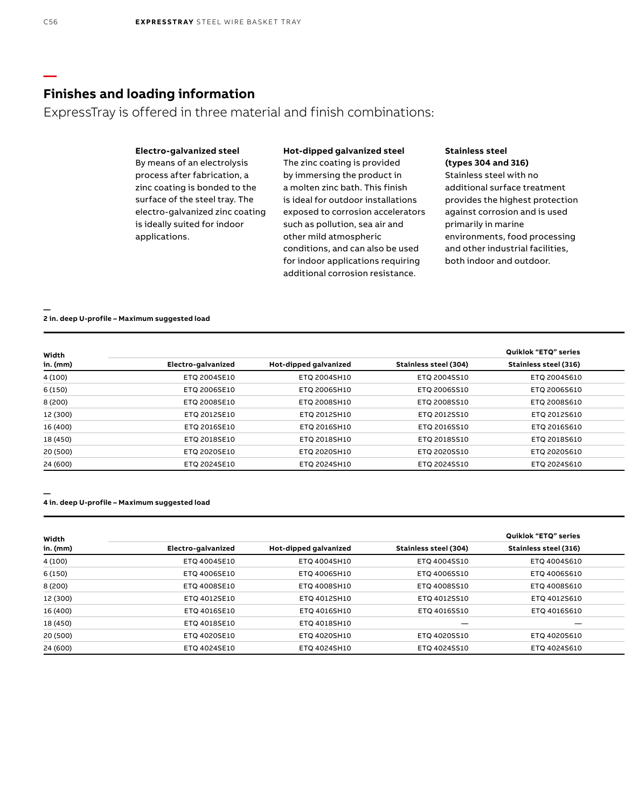ExpressTray is offered in three material and finish combinations:

## **Electro-galvanized steel**

By means of an electrolysis process after fabrication, a zinc coating is bonded to the surface of the steel tray. The electro-galvanized zinc coating is ideally suited for indoor applications.

## **Hot-dipped galvanized steel**

The zinc coating is provided by immersing the product in a molten zinc bath. This finish is ideal for outdoor installations exposed to corrosion accelerators such as pollution, sea air and other mild atmospheric conditions, and can also be used for indoor applications requiring additional corrosion resistance.

### **Stainless steel (types 304 and 316)**

Stainless steel with no additional surface treatment provides the highest protection against corrosion and is used primarily in marine environments, food processing and other industrial facilities, both indoor and outdoor.

#### **— 2 in. deep U-profile – Maximum suggested load**

| Width    |                    |                       |                       | Quiklok "ETQ" series         |
|----------|--------------------|-----------------------|-----------------------|------------------------------|
| in. (mm) | Electro-galvanized | Hot-dipped galvanized | Stainless steel (304) | <b>Stainless steel (316)</b> |
| 4 (100)  | ETQ 2004SE10       | ETQ 2004SH10          | ETQ 2004SS10          | ETQ 2004S610                 |
| 6 (150)  | ETQ 2006SE10       | ETQ 2006SH10          | ETQ 2006SS10          | ETQ 2006S610                 |
| 8 (200)  | ETQ 2008SE10       | ETQ 2008SH10          | ETQ 2008SS10          | ETQ 2008S610                 |
| 12 (300) | ETQ 2012SE10       | ETQ 2012SH10          | ETQ 2012SS10          | ETQ 2012S610                 |
| 16 (400) | ETQ 2016SE10       | ETQ 2016SH10          | ETQ 2016SS10          | ETQ 2016S610                 |
| 18 (450) | ETQ 2018SE10       | ETQ 2018SH10          | ETQ 2018SS10          | ETQ 2018S610                 |
| 20 (500) | ETQ 2020SE10       | ETQ 2020SH10          | ETQ 2020SS10          | ETQ 2020S610                 |
| 24 (600) | ETQ 2024SE10       | ETQ 2024SH10          | ETQ 2024SS10          | ETQ 2024S610                 |

### **4 in. deep U-profile – Maximum suggested load**

**—**

| Width    |                    |                       |                       | Quiklok "ETQ" series         |
|----------|--------------------|-----------------------|-----------------------|------------------------------|
| in. (mm) | Electro-galvanized | Hot-dipped galvanized | Stainless steel (304) | <b>Stainless steel (316)</b> |
| 4 (100)  | ETQ 4004SE10       | ETQ 4004SH10          | ETQ 4004SS10          | ETQ 4004S610                 |
| 6 (150)  | ETQ 4006SE10       | ETQ 4006SH10          | ETQ 4006SS10          | ETQ 4006S610                 |
| 8 (200)  | ETQ 4008SE10       | ETQ 4008SH10          | ETQ 4008SS10          | ETQ 4008S610                 |
| 12 (300) | ETQ 4012SE10       | ETQ 4012SH10          | ETQ 4012SS10          | ETQ 4012S610                 |
| 16 (400) | ETQ 4016SE10       | ETQ 4016SH10          | ETQ 4016SS10          | ETQ 4016S610                 |
| 18 (450) | ETQ 4018SE10       | ETQ 4018SH10          |                       | $\qquad \qquad$              |
| 20 (500) | ETQ 4020SE10       | ETQ 4020SH10          | ETQ 4020SS10          | ETQ 4020S610                 |
| 24 (600) | ETQ 4024SE10       | ETQ 4024SH10          | ETQ 4024SS10          | ETQ 4024S610                 |

**—**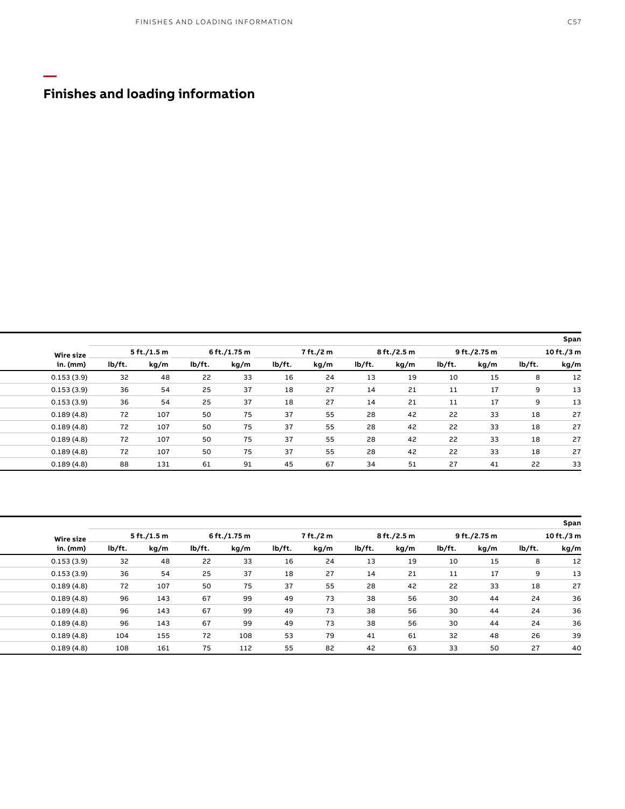**—**

| Span           |      |              |      |             |           |        |      |              |      |             |                  |  |  |  |  |  |  |  |  |  |
|----------------|------|--------------|------|-------------|-----------|--------|------|--------------|------|-------------|------------------|--|--|--|--|--|--|--|--|--|
| 10 ft./3 m     |      | 9 ft./2.75 m |      | 8 ft./2.5 m | 7 ft./2 m |        |      | 6 ft./1.75 m |      | 5 ft./1.5 m | <b>Wire size</b> |  |  |  |  |  |  |  |  |  |
| lb/ft.<br>kg/m | kg/m | lb/ft.       | kg/m | lb/ft.      | kg/m      | lb/ft. | kg/m | lb/ft.       | kg/m | lb/ft.      | in. (mm)         |  |  |  |  |  |  |  |  |  |
|                |      | 10           | 19   |             | 24        | 16     | 33   | 22           | 48   | 32          | 0.153(3.9)       |  |  |  |  |  |  |  |  |  |
|                |      | 11           | 21   | 14          | 27        | 18     | 37   | 25           | 54   | 36          | 0.153(3.9)       |  |  |  |  |  |  |  |  |  |
|                |      | 11           | 21   | 14          | 27        | 18     | 37   | 25           | 54   | 36          | 0.153(3.9)       |  |  |  |  |  |  |  |  |  |
| 18             | 33   | 22           | 42   | 28          | 55        | 37     | 75   | 50           | 107  | 72          | 0.189(4.8)       |  |  |  |  |  |  |  |  |  |
| 18             | 33   | 22           | 42   | 28          | 55        | 37     | 75   | 50           | 107  | 72          | 0.189(4.8)       |  |  |  |  |  |  |  |  |  |
| 18             | 33   | 22           | 42   | 28          | 55        | 37     | 75   | 50           | 107  | 72          | 0.189(4.8)       |  |  |  |  |  |  |  |  |  |
| 18             | 33   | 22           | 42   | 28          | 55        | 37     | 75   | 50           | 107  | 72          | 0.189(4.8)       |  |  |  |  |  |  |  |  |  |
| 22             |      | 27           |      |             |           | 45     |      | 61           | 131  | 88          | 0.189(4.8)       |  |  |  |  |  |  |  |  |  |

| Span       |        |      |              |      |                          |      |        |              |        |             |        |                  |  |  |  |  |  |  |  |  |  |  |  |
|------------|--------|------|--------------|------|--------------------------|------|--------|--------------|--------|-------------|--------|------------------|--|--|--|--|--|--|--|--|--|--|--|
| 10 ft./3 m |        |      | 9 ft./2.75 m |      | 7 ft./2 m<br>8 ft./2.5 m |      |        | 6 ft./1.75 m |        | 5 ft./1.5 m |        | <b>Wire size</b> |  |  |  |  |  |  |  |  |  |  |  |
| kg/m       | lb/ft. | kg/m | lb/ft.       | kg/m | lb/ft.                   | kg/m | lb/ft. | kg/m         | lb/ft. | kg/m        | lb/ft. | in. (mm)         |  |  |  |  |  |  |  |  |  |  |  |
|            |        | 15   | 10           | 19   | 13                       | 24   | 16     | 33           | 22     | 48          | 32     | 0.153(3.9)       |  |  |  |  |  |  |  |  |  |  |  |
|            |        | 17   | 11           | 21   | 14                       | 27   | 18     | 37           | 25     | 54          | 36     | 0.153(3.9)       |  |  |  |  |  |  |  |  |  |  |  |
|            | 18     | 33   | 22           | 42   | 28                       | 55   | 37     | 75           | 50     | 107         | 72     | 0.189(4.8)       |  |  |  |  |  |  |  |  |  |  |  |
|            | 24     | 44   | 30           | 56   | 38                       | 73   | 49     | 99           | 67     | 143         | 96     | 0.189(4.8)       |  |  |  |  |  |  |  |  |  |  |  |
|            | 24     | 44   | 30           | 56   | 38                       | 73   | 49     | 99           | 67     | 143         | 96     | 0.189(4.8)       |  |  |  |  |  |  |  |  |  |  |  |
|            | 24     | 44   | 30           | 56   | 38                       | 73   | 49     | 99           | 67     | 143         | 96     | 0.189(4.8)       |  |  |  |  |  |  |  |  |  |  |  |
|            | 26     | 48   | 32           | 61   | 41                       | 79   | 53     | 108          | 72     | 155         | 104    | 0.189(4.8)       |  |  |  |  |  |  |  |  |  |  |  |
|            | 27     | 50   | 33           | 63   | 42                       | 82   | 55     | 112          | 75     | 161         | 108    | 0.189(4.8)       |  |  |  |  |  |  |  |  |  |  |  |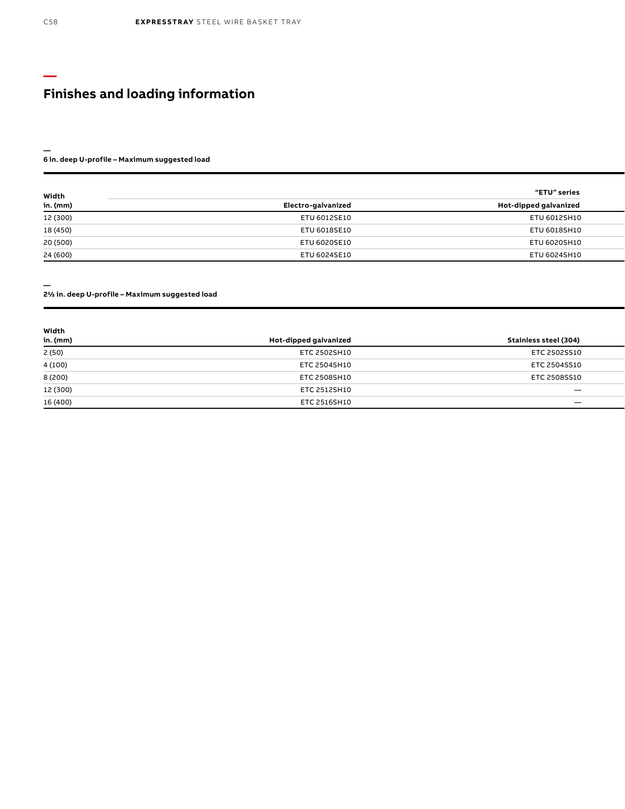#### **6 in. deep U-profile – Maximum suggested load**

| Width    |                    | "ETU" series          |
|----------|--------------------|-----------------------|
| in. (mm) | Electro-galvanized | Hot-dipped galvanized |
| 12 (300) | ETU 6012SE10       | ETU 6012SH10          |
| 18 (450) | ETU 6018SE10       | ETU 6018SH10          |
| 20 (500) | ETU 6020SE10       | ETU 6020SH10          |
| 24 (600) | ETU 6024SE10       | ETU 6024SH10          |

**—**

**—**

#### **21/2 in. deep U-profile – Maximum suggested load**

| Width    |                       |                       |
|----------|-----------------------|-----------------------|
| in. (mm) | Hot-dipped galvanized | Stainless steel (304) |
| 2(50)    | ETC 2502SH10          | ETC 2502SS10          |
| 4(100)   | ETC 2504SH10          | ETC 2504SS10          |
| 8 (200)  | ETC 2508SH10          | ETC 2508SS10          |
| 12 (300) | ETC 2512SH10          |                       |
| 16 (400) | ETC 2516SH10          |                       |

**—**